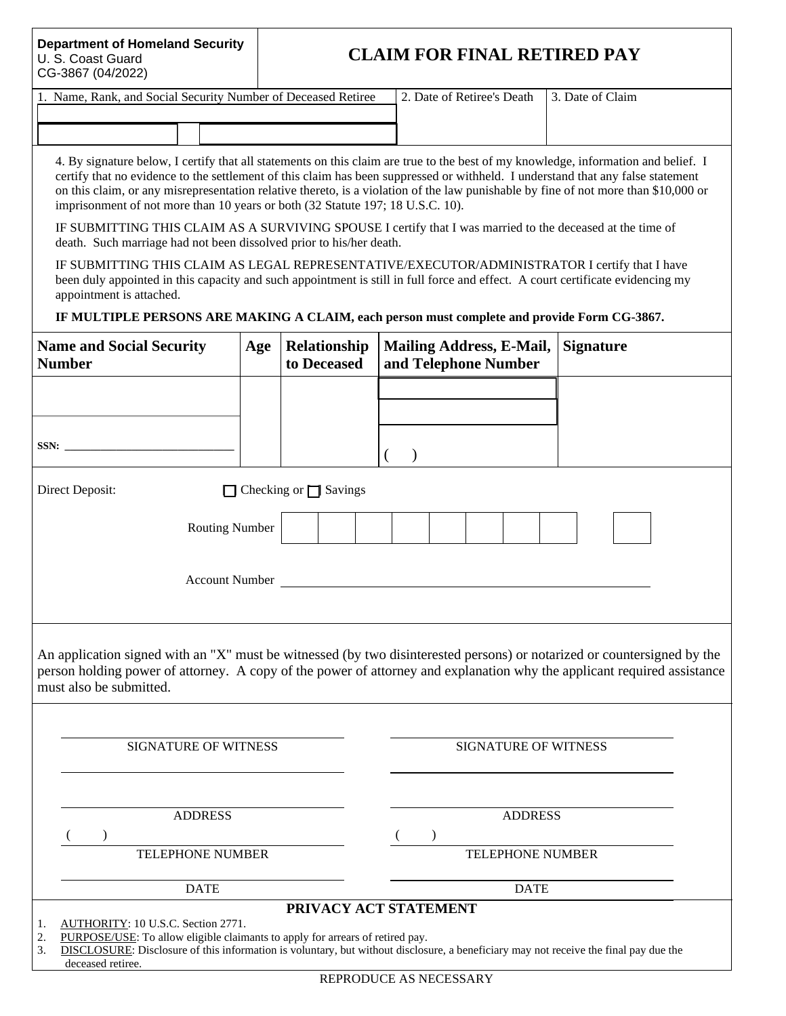#### **Department of Homeland Security**  U. S. Coast Guard CG-3867 (04/2022)

# **CLAIM FOR FINAL RETIRED PAY**

| 1. Name, Rank, and Social Security Number of Deceased Retiree | 2. Date of Retiree's Death | 13. Date of Claim |
|---------------------------------------------------------------|----------------------------|-------------------|
|                                                               |                            |                   |
|                                                               |                            |                   |

4. By signature below, I certify that all statements on this claim are true to the best of my knowledge, information and belief. I certify that no evidence to the settlement of this claim has been suppressed or withheld. I understand that any false statement on this claim, or any misrepresentation relative thereto, is a violation of the law punishable by fine of not more than \$10,000 or imprisonment of not more than 10 years or both (32 Statute 197; 18 U.S.C. 10).

IF SUBMITTING THIS CLAIM AS A SURVIVING SPOUSE I certify that I was married to the deceased at the time of death. Such marriage had not been dissolved prior to his/her death.

IF SUBMITTING THIS CLAIM AS LEGAL REPRESENTATIVE/EXECUTOR/ADMINISTRATOR I certify that I have been duly appointed in this capacity and such appointment is still in full force and effect. A court certificate evidencing my appointment is attached.

### **IF MULTIPLE PERSONS ARE MAKING A CLAIM, each person must complete and provide Form CG-3867.**

| <b>Name and Social Security</b><br><b>Number</b>                                                                                                                                                                                                                                                                            | Age | Relationship<br>to Deceased | <b>Mailing Address, E-Mail,</b><br>and Telephone Number | <b>Signature</b> |  |  |  |
|-----------------------------------------------------------------------------------------------------------------------------------------------------------------------------------------------------------------------------------------------------------------------------------------------------------------------------|-----|-----------------------------|---------------------------------------------------------|------------------|--|--|--|
|                                                                                                                                                                                                                                                                                                                             |     |                             |                                                         |                  |  |  |  |
|                                                                                                                                                                                                                                                                                                                             |     |                             |                                                         |                  |  |  |  |
|                                                                                                                                                                                                                                                                                                                             |     |                             | €<br>$\lambda$                                          |                  |  |  |  |
| Direct Deposit:<br>$\Box$ Checking or $\Box$ Savings                                                                                                                                                                                                                                                                        |     |                             |                                                         |                  |  |  |  |
| <b>Routing Number</b>                                                                                                                                                                                                                                                                                                       |     |                             |                                                         |                  |  |  |  |
| Account Number and the state of the state of the state of the state of the state of the state of the state of the state of the state of the state of the state of the state of the state of the state of the state of the stat                                                                                              |     |                             |                                                         |                  |  |  |  |
| An application signed with an "X" must be witnessed (by two disinterested persons) or notarized or countersigned by the<br>person holding power of attorney. A copy of the power of attorney and explanation why the applicant required assistance<br>must also be submitted.                                               |     |                             |                                                         |                  |  |  |  |
| <b>SIGNATURE OF WITNESS</b>                                                                                                                                                                                                                                                                                                 |     |                             | <b>SIGNATURE OF WITNESS</b>                             |                  |  |  |  |
| <b>ADDRESS</b>                                                                                                                                                                                                                                                                                                              |     |                             | <b>ADDRESS</b>                                          |                  |  |  |  |
| TELEPHONE NUMBER                                                                                                                                                                                                                                                                                                            |     |                             | TELEPHONE NUMBER                                        |                  |  |  |  |
|                                                                                                                                                                                                                                                                                                                             |     |                             |                                                         |                  |  |  |  |
| <b>DATE</b>                                                                                                                                                                                                                                                                                                                 |     |                             | <b>DATE</b>                                             |                  |  |  |  |
| PRIVACY ACT STATEMENT<br>AUTHORITY: 10 U.S.C. Section 2771.<br>1.<br>2.<br>PURPOSE/USE: To allow eligible claimants to apply for arrears of retired pay.<br>DISCLOSURE: Disclosure of this information is voluntary, but without disclosure, a beneficiary may not receive the final pay due the<br>3.<br>deceased retiree. |     |                             |                                                         |                  |  |  |  |

REPRODUCE AS NECESSARY